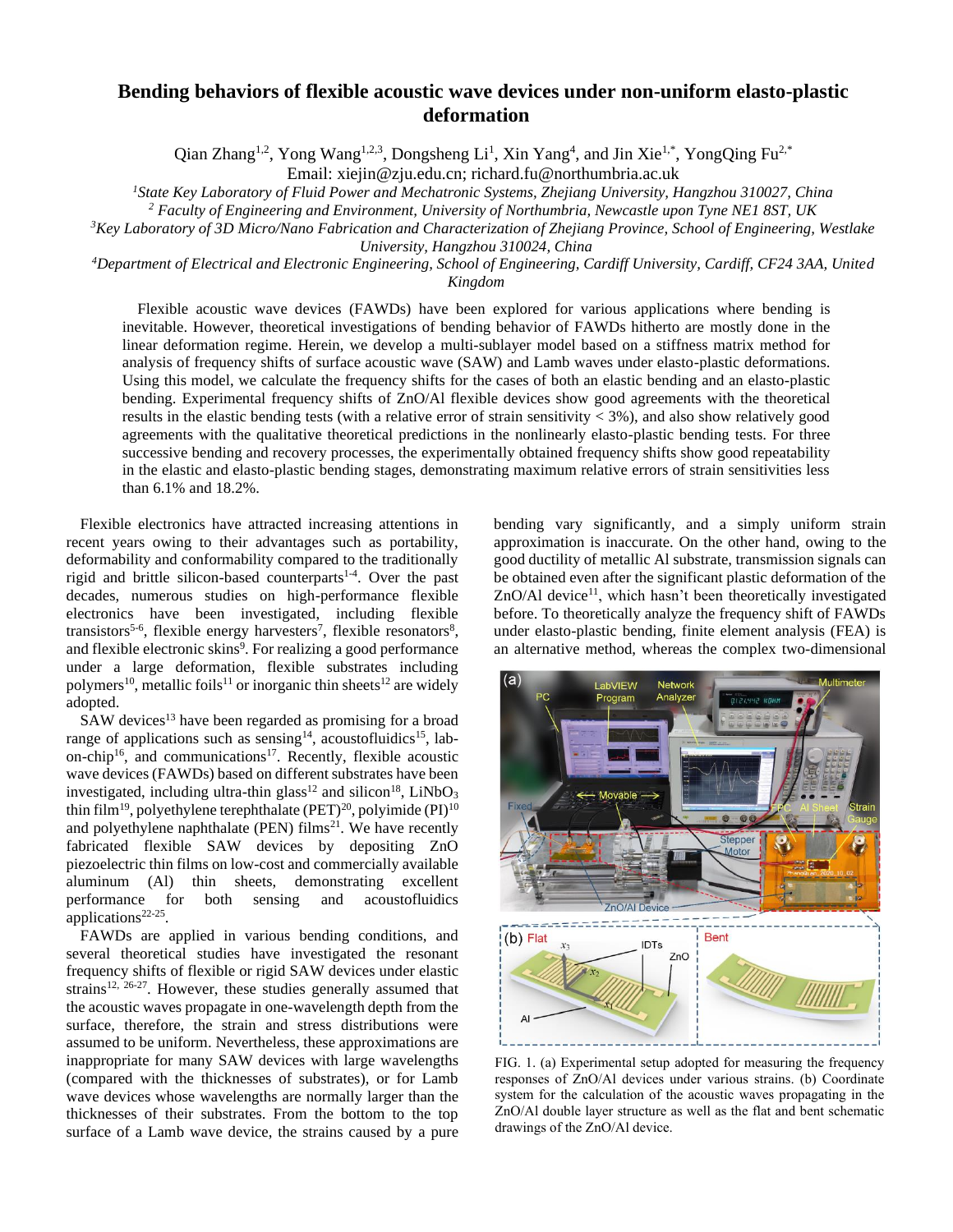## **Bending behaviors of flexible acoustic wave devices under non-uniform elasto-plastic deformation**

Qian Zhang<sup>1,2</sup>, Yong Wang<sup>1,2,3</sup>, Dongsheng Li<sup>1</sup>, Xin Yang<sup>4</sup>, and Jin Xie<sup>1,\*</sup>, YongQing Fu<sup>2,\*</sup>

Email: xiejin@zju.edu.cn; richard.fu@northumbria.ac.uk

*<sup>1</sup>State Key Laboratory of Fluid Power and Mechatronic Systems, Zhejiang University, Hangzhou 310027, China*

*<sup>2</sup> Faculty of Engineering and Environment, University of Northumbria, Newcastle upon Tyne NE1 8ST, UK*

*<sup>3</sup>Key Laboratory of 3D Micro/Nano Fabrication and Characterization of Zhejiang Province, School of Engineering, Westlake* 

*University, Hangzhou 310024, China*

*<sup>4</sup>Department of Electrical and Electronic Engineering, School of Engineering, Cardiff University, Cardiff, CF24 3AA, United Kingdom*

Flexible acoustic wave devices (FAWDs) have been explored for various applications where bending is inevitable. However, theoretical investigations of bending behavior of FAWDs hitherto are mostly done in the linear deformation regime. Herein, we develop a multi-sublayer model based on a stiffness matrix method for analysis of frequency shifts of surface acoustic wave (SAW) and Lamb waves under elasto-plastic deformations. Using this model, we calculate the frequency shifts for the cases of both an elastic bending and an elasto-plastic bending. Experimental frequency shifts of ZnO/Al flexible devices show good agreements with the theoretical results in the elastic bending tests (with a relative error of strain sensitivity  $<$  3%), and also show relatively good agreements with the qualitative theoretical predictions in the nonlinearly elasto-plastic bending tests. For three successive bending and recovery processes, the experimentally obtained frequency shifts show good repeatability in the elastic and elasto-plastic bending stages, demonstrating maximum relative errors of strain sensitivities less than 6.1% and 18.2%.

Flexible electronics have attracted increasing attentions in recent years owing to their advantages such as portability, deformability and conformability compared to the traditionally rigid and brittle silicon-based counterparts<sup>1-4</sup>. Over the past decades, numerous studies on high-performance flexible electronics have been investigated, including flexible transistors<sup>5-6</sup>, flexible energy harvesters<sup>7</sup>, flexible resonators<sup>8</sup>, and flexible electronic skins<sup>9</sup>. For realizing a good performance under a large deformation, flexible substrates including polymers<sup>10</sup>, metallic foils<sup>11</sup> or inorganic thin sheets<sup>12</sup> are widely adopted.

SAW devices<sup>13</sup> have been regarded as promising for a broad range of applications such as sensing<sup>14</sup>, acoustofluidics<sup>15</sup>, labon-chip<sup>16</sup>, and communications<sup>17</sup>. Recently, flexible acoustic wave devices (FAWDs) based on different substrates have been investigated, including ultra-thin glass<sup>12</sup> and silicon<sup>18</sup>, LiNbO<sub>3</sub> thin film<sup>19</sup>, polyethylene terephthalate (PET)<sup>20</sup>, polyimide (PI)<sup>10</sup> and polyethylene naphthalate (PEN) films<sup>21</sup>. We have recently fabricated flexible SAW devices by depositing ZnO piezoelectric thin films on low-cost and commercially available aluminum (Al) thin sheets, demonstrating excellent performance for both sensing and acoustofluidics applications<sup>22-25</sup>.

FAWDs are applied in various bending conditions, and several theoretical studies have investigated the resonant frequency shifts of flexible or rigid SAW devices under elastic strains<sup>12, 26-27</sup>. However, these studies generally assumed that the acoustic waves propagate in one-wavelength depth from the surface, therefore, the strain and stress distributions were assumed to be uniform. Nevertheless, these approximations are inappropriate for many SAW devices with large wavelengths (compared with the thicknesses of substrates), or for Lamb wave devices whose wavelengths are normally larger than the thicknesses of their substrates. From the bottom to the top surface of a Lamb wave device, the strains caused by a pure bending vary significantly, and a simply uniform strain approximation is inaccurate. On the other hand, owing to the good ductility of metallic Al substrate, transmission signals can be obtained even after the significant plastic deformation of the  $ZnO/A1$  device<sup>11</sup>, which hasn't been theoretically investigated before. To theoretically analyze the frequency shift of FAWDs under elasto-plastic bending, finite element analysis (FEA) is an alternative method, whereas the complex two-dimensional



FIG. 1. (a) Experimental setup adopted for measuring the frequency responses of ZnO/Al devices under various strains. (b) Coordinate system for the calculation of the acoustic waves propagating in the ZnO/Al double layer structure as well as the flat and bent schematic drawings of the ZnO/Al device.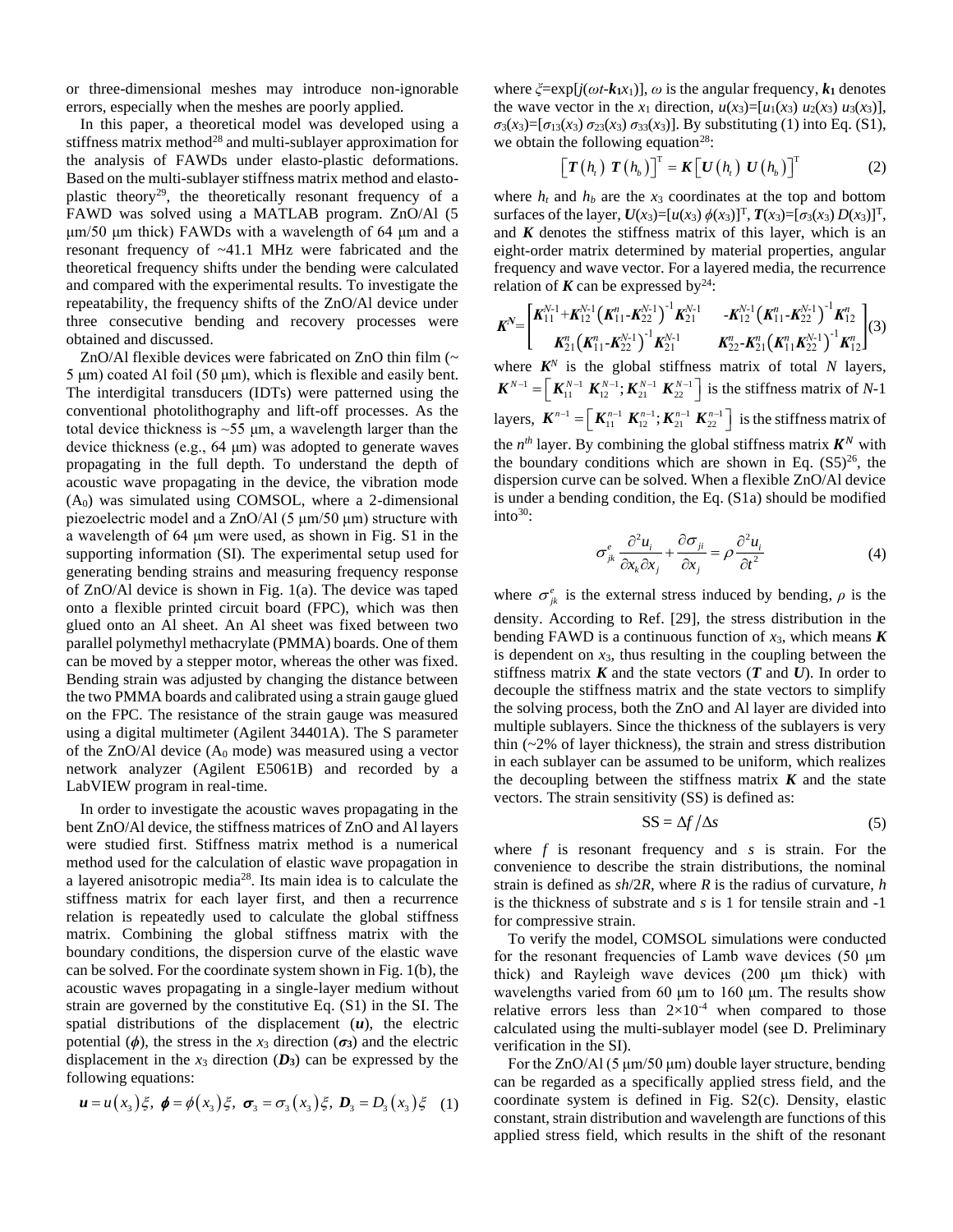or three-dimensional meshes may introduce non-ignorable errors, especially when the meshes are poorly applied.

In this paper, a theoretical model was developed using a stiffness matrix method<sup>28</sup> and multi-sublayer approximation for the analysis of FAWDs under elasto-plastic deformations. Based on the multi-sublayer stiffness matrix method and elastoplastic theory<sup>29</sup>, the theoretically resonant frequency of a FAWD was solved using a MATLAB program. ZnO/Al (5 μm/50 μm thick) FAWDs with a wavelength of 64 μm and a resonant frequency of ~41.1 MHz were fabricated and the theoretical frequency shifts under the bending were calculated and compared with the experimental results. To investigate the repeatability, the frequency shifts of the ZnO/Al device under three consecutive bending and recovery processes were obtained and discussed.

ZnO/Al flexible devices were fabricated on ZnO thin film (~ 5 μm) coated Al foil (50 μm), which is flexible and easily bent. The interdigital transducers (IDTs) were patterned using the conventional photolithography and lift-off processes. As the total device thickness is  $\sim$ 55  $\mu$ m, a wavelength larger than the device thickness (e.g., 64 μm) was adopted to generate waves propagating in the full depth. To understand the depth of acoustic wave propagating in the device, the vibration mode  $(A<sub>0</sub>)$  was simulated using COMSOL, where a 2-dimensional piezoelectric model and a ZnO/Al (5 μm/50 μm) structure with a wavelength of 64 μm were used, as shown in Fig. S1 in the supporting information (SI). The experimental setup used for generating bending strains and measuring frequency response of ZnO/Al device is shown in Fig. 1(a). The device was taped onto a flexible printed circuit board (FPC), which was then glued onto an Al sheet. An Al sheet was fixed between two parallel polymethyl methacrylate (PMMA) boards. One of them can be moved by a stepper motor, whereas the other was fixed. Bending strain was adjusted by changing the distance between the two PMMA boards and calibrated using a strain gauge glued on the FPC. The resistance of the strain gauge was measured using a digital multimeter (Agilent 34401A). The S parameter of the  $ZnO/Al$  device  $(A<sub>0</sub>$  mode) was measured using a vector network analyzer (Agilent E5061B) and recorded by a LabVIEW program in real-time.

In order to investigate the acoustic waves propagating in the bent ZnO/Al device, the stiffness matrices of ZnO and Al layers were studied first. Stiffness matrix method is a numerical method used for the calculation of elastic wave propagation in a layered anisotropic media<sup>28</sup>. Its main idea is to calculate the stiffness matrix for each layer first, and then a recurrence relation is repeatedly used to calculate the global stiffness matrix. Combining the global stiffness matrix with the boundary conditions, the dispersion curve of the elastic wave can be solved. For the coordinate system shown in Fig. 1(b), the acoustic waves propagating in a single-layer medium without strain are governed by the constitutive Eq. (S1) in the SI. The spatial distributions of the displacement (*u*), the electric potential  $(\phi)$ , the stress in the *x*<sub>3</sub> direction  $(\sigma_3)$  and the electric displacement in the  $x_3$  direction  $(D_3)$  can be expressed by the following equations:

$$
\mathbf{u} = u(x_3)\xi, \; \mathbf{\phi} = \phi(x_3)\xi, \; \mathbf{\sigma}_3 = \sigma_3(x_3)\xi, \; \mathbf{D}_3 = D_3(x_3)\xi \quad (1)
$$

where  $\zeta = \exp[i(\omega t - k_1 x_1)]$ ,  $\omega$  is the angular frequency,  $k_1$  denotes the wave vector in the  $x_1$  direction,  $u(x_3) = [u_1(x_3) u_2(x_3) u_3(x_3)]$ ,  $\sigma_3(x_3) = [\sigma_{13}(x_3) \sigma_{23}(x_3) \sigma_{33}(x_3)]$ . By substituting (1) into Eq. (S1), we obtain the following equation<sup>28</sup>:

$$
\left[\boldsymbol{T}\left(h_{i}\right) \boldsymbol{T}\left(h_{b}\right)\right]^{T} = \boldsymbol{K}\left[\boldsymbol{U}\left(h_{i}\right) \boldsymbol{U}\left(h_{b}\right)\right]^{T} \tag{2}
$$

where  $h_t$  and  $h_b$  are the  $x_3$  coordinates at the top and bottom surfaces of the layer,  $U(x_3) = [u(x_3) \phi(x_3)]^T$ ,  $T(x_3) = [\sigma_3(x_3) D(x_3)]^T$ , and  $K$  denotes the stiffness matrix of this layer, which is an eight-order matrix determined by material properties, angular frequency and wave vector. For a layered media, the recurrence relation of  $\boldsymbol{K}$  can be expressed by<sup>24</sup>:

$$
\boldsymbol{K}^{N} = \begin{bmatrix} \boldsymbol{K}_{11}^{N-1} + \boldsymbol{K}_{12}^{N-1} \left( \boldsymbol{K}_{11}^{n} - \boldsymbol{K}_{22}^{N-1} \right)^{-1} \boldsymbol{K}_{21}^{N-1} & - \boldsymbol{K}_{12}^{N-1} \left( \boldsymbol{K}_{11}^{n} - \boldsymbol{K}_{22}^{N-1} \right)^{-1} \boldsymbol{K}_{12}^{n} \\ \boldsymbol{K}_{21}^{n} \left( \boldsymbol{K}_{11}^{n} - \boldsymbol{K}_{22}^{N-1} \right)^{-1} \boldsymbol{K}_{21}^{N-1} & \boldsymbol{K}_{22}^{n} - \boldsymbol{K}_{21}^{n} \left( \boldsymbol{K}_{11}^{n} \boldsymbol{K}_{22}^{N-1} \right)^{-1} \boldsymbol{K}_{12}^{n} \end{bmatrix} (3)
$$

where  $K^N$  is the global stiffness matrix of total *N* layers,  $\mathbf{K}^{N-1} = \left[ \mathbf{K}_{11}^{N-1} \mathbf{K}_{12}^{N-1} ; \mathbf{K}_{21}^{N-1} \mathbf{K}_{22}^{N-1} \right]$  is the stiffness matrix of *N*-1 layers,  $\mathbf{K}^{n-1} = \left[ \mathbf{K}_{11}^{n-1} \ \mathbf{K}_{12}^{n-1} ; \mathbf{K}_{21}^{n-1} \ \mathbf{K}_{22}^{n-1} \right]$  is the stiffness matrix of the  $n^{th}$  layer. By combining the global stiffness matrix  $K^N$  with the boundary conditions which are shown in Eq.  $(S5)^{26}$ , the dispersion curve can be solved. When a flexible ZnO/Al device is under a bending condition, the Eq. (S1a) should be modified  $into<sup>30</sup>$ :

$$
\sigma_{jk}^{e} \frac{\partial^{2} u_{i}}{\partial x_{k} \partial x_{j}} + \frac{\partial \sigma_{ji}}{\partial x_{j}} = \rho \frac{\partial^{2} u_{i}}{\partial t^{2}}
$$
(4)

where  $\sigma_{jk}^e$  is the external stress induced by bending,  $\rho$  is the density. According to Ref. [29], the stress distribution in the bending FAWD is a continuous function of  $x_3$ , which means  $K$ is dependent on *x*3, thus resulting in the coupling between the stiffness matrix  $K$  and the state vectors  $(T$  and  $U)$ . In order to decouple the stiffness matrix and the state vectors to simplify the solving process, both the ZnO and Al layer are divided into multiple sublayers. Since the thickness of the sublayers is very thin (~2% of layer thickness), the strain and stress distribution in each sublayer can be assumed to be uniform, which realizes the decoupling between the stiffness matrix  $\boldsymbol{K}$  and the state vectors. The strain sensitivity (SS) is defined as:

$$
SS = \Delta f / \Delta s \tag{5}
$$

where *f* is resonant frequency and *s* is strain. For the convenience to describe the strain distributions, the nominal strain is defined as *sh*/2*R*, where *R* is the radius of curvature, *h* is the thickness of substrate and *s* is 1 for tensile strain and -1 for compressive strain.

To verify the model, COMSOL simulations were conducted for the resonant frequencies of Lamb wave devices (50 μm thick) and Rayleigh wave devices (200 μm thick) with wavelengths varied from 60 μm to 160 μm. The results show relative errors less than  $2\times10^{-4}$  when compared to those calculated using the multi-sublayer model (see D. Preliminary verification in the SI).

For the ZnO/Al (5 μm/50 μm) double layer structure, bending can be regarded as a specifically applied stress field, and the coordinate system is defined in Fig. S2(c). Density, elastic constant, strain distribution and wavelength are functions of this applied stress field, which results in the shift of the resonant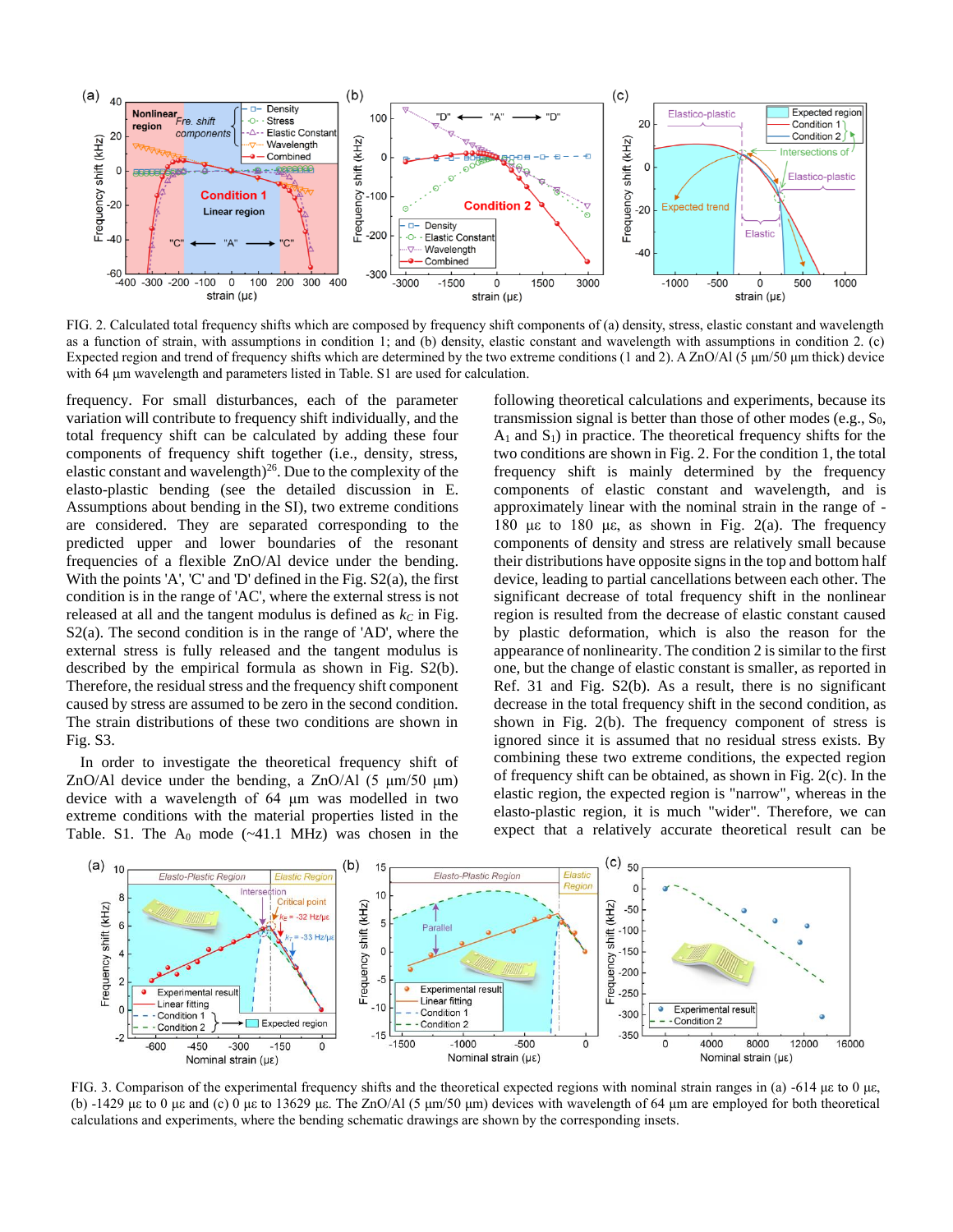

FIG. 2. Calculated total frequency shifts which are composed by frequency shift components of (a) density, stress, elastic constant and wavelength as a function of strain, with assumptions in condition 1; and (b) density, elastic constant and wavelength with assumptions in condition 2. (c) Expected region and trend of frequency shifts which are determined by the two extreme conditions (1 and 2). A ZnO/Al (5 μm/50 μm thick) device with 64 μm wavelength and parameters listed in Table. S1 are used for calculation.

frequency. For small disturbances, each of the parameter variation will contribute to frequency shift individually, and the total frequency shift can be calculated by adding these four components of frequency shift together (i.e., density, stress, elastic constant and wavelength) $^{26}$ . Due to the complexity of the elasto-plastic bending (see the detailed discussion in E. Assumptions about bending in the SI), two extreme conditions are considered. They are separated corresponding to the predicted upper and lower boundaries of the resonant frequencies of a flexible ZnO/Al device under the bending. With the points 'A', 'C' and 'D' defined in the Fig.  $S2(a)$ , the first condition is in the range of 'AC', where the external stress is not released at all and the tangent modulus is defined as  $k<sub>C</sub>$  in Fig. S2(a). The second condition is in the range of 'AD', where the external stress is fully released and the tangent modulus is described by the empirical formula as shown in Fig. S2(b). Therefore, the residual stress and the frequency shift component caused by stress are assumed to be zero in the second condition. The strain distributions of these two conditions are shown in Fig. S3.

In order to investigate the theoretical frequency shift of ZnO/Al device under the bending, a ZnO/Al  $(5 \mu m/50 \mu m)$ device with a wavelength of 64 μm was modelled in two extreme conditions with the material properties listed in the Table. S1. The  $A_0$  mode  $(-41.1 \text{ MHz})$  was chosen in the

following theoretical calculations and experiments, because its transmission signal is better than those of other modes (e.g.,  $S_0$ ,  $A_1$  and  $S_1$ ) in practice. The theoretical frequency shifts for the two conditions are shown in Fig. 2. For the condition 1, the total frequency shift is mainly determined by the frequency components of elastic constant and wavelength, and is approximately linear with the nominal strain in the range of - 180 με to 180 με, as shown in Fig. 2(a). The frequency components of density and stress are relatively small because their distributions have opposite signs in the top and bottom half device, leading to partial cancellations between each other. The significant decrease of total frequency shift in the nonlinear region is resulted from the decrease of elastic constant caused by plastic deformation, which is also the reason for the appearance of nonlinearity. The condition 2 is similar to the first one, but the change of elastic constant is smaller, as reported in Ref. 31 and Fig. S2(b). As a result, there is no significant decrease in the total frequency shift in the second condition, as shown in Fig. 2(b). The frequency component of stress is ignored since it is assumed that no residual stress exists. By combining these two extreme conditions, the expected region of frequency shift can be obtained, as shown in Fig. 2(c). In the elastic region, the expected region is "narrow", whereas in the elasto-plastic region, it is much "wider". Therefore, we can expect that a relatively accurate theoretical result can be



FIG. 3. Comparison of the experimental frequency shifts and the theoretical expected regions with nominal strain ranges in (a) -614 με to 0 με, (b)  $-1429$  με to 0 με and (c) 0 με to 13629 με. The ZnO/Al (5 μm/50 μm) devices with wavelength of 64 μm are employed for both theoretical calculations and experiments, where the bending schematic drawings are shown by the corresponding insets.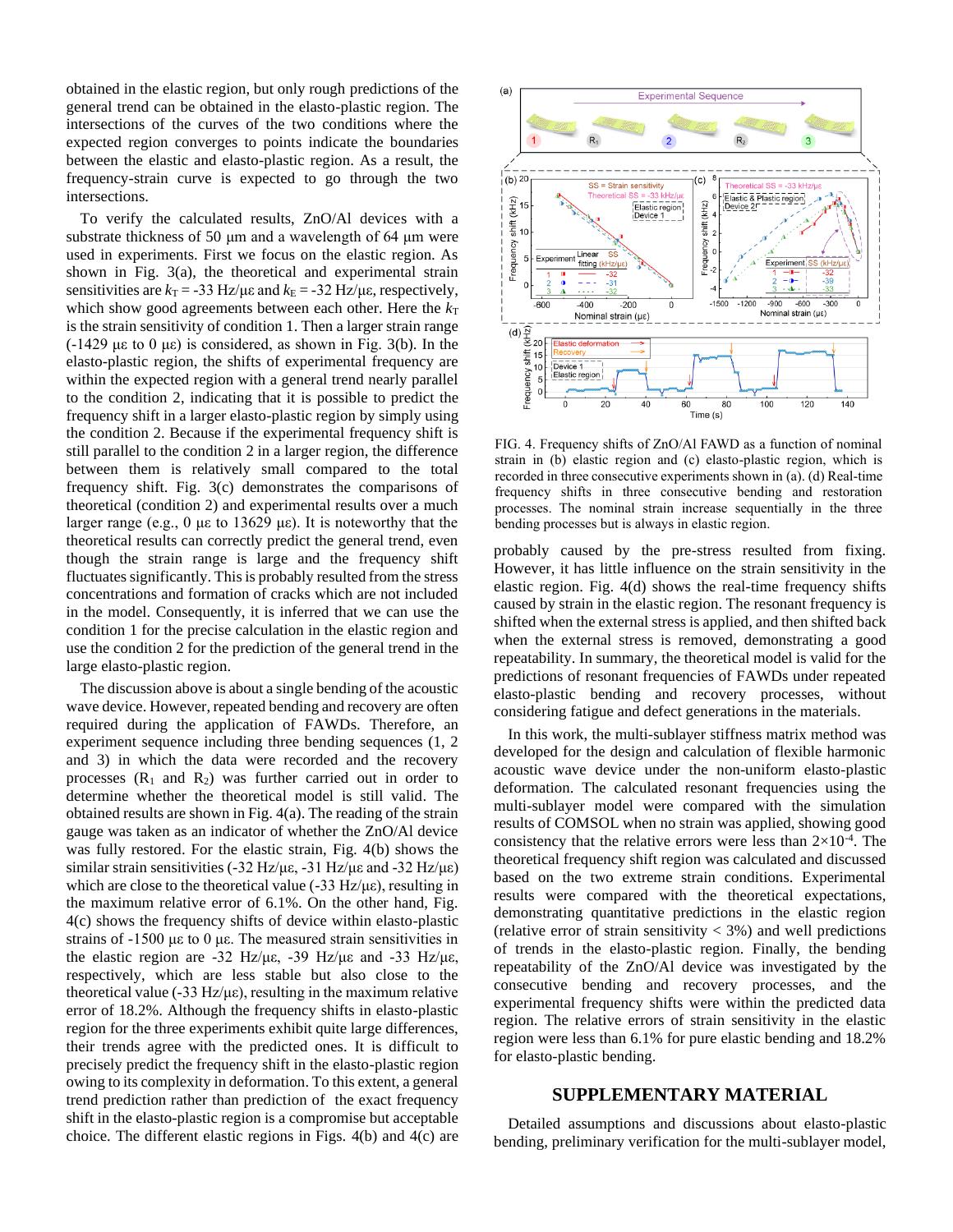obtained in the elastic region, but only rough predictions of the general trend can be obtained in the elasto-plastic region. The intersections of the curves of the two conditions where the expected region converges to points indicate the boundaries between the elastic and elasto-plastic region. As a result, the frequency-strain curve is expected to go through the two intersections.

To verify the calculated results, ZnO/Al devices with a substrate thickness of 50 μm and a wavelength of 64 μm were used in experiments. First we focus on the elastic region. As shown in Fig. 3(a), the theoretical and experimental strain sensitivities are  $k_T = -33$  Hz/με and  $k_E = -32$  Hz/με, respectively, which show good agreements between each other. Here the  $k_T$ is the strain sensitivity of condition 1. Then a larger strain range  $(-1429 \mu \varepsilon)$  to 0  $\mu \varepsilon)$  is considered, as shown in Fig. 3(b). In the elasto-plastic region, the shifts of experimental frequency are within the expected region with a general trend nearly parallel to the condition 2, indicating that it is possible to predict the frequency shift in a larger elasto-plastic region by simply using the condition 2. Because if the experimental frequency shift is still parallel to the condition 2 in a larger region, the difference between them is relatively small compared to the total frequency shift. Fig. 3(c) demonstrates the comparisons of theoretical (condition 2) and experimental results over a much larger range (e.g., 0 με to 13629 με). It is noteworthy that the theoretical results can correctly predict the general trend, even though the strain range is large and the frequency shift fluctuates significantly. This is probably resulted from the stress concentrations and formation of cracks which are not included in the model. Consequently, it is inferred that we can use the condition 1 for the precise calculation in the elastic region and use the condition 2 for the prediction of the general trend in the large elasto-plastic region.

The discussion above is about a single bending of the acoustic wave device. However, repeated bending and recovery are often required during the application of FAWDs. Therefore, an experiment sequence including three bending sequences (1, 2 and 3) in which the data were recorded and the recovery processes  $(R_1$  and  $R_2$ ) was further carried out in order to determine whether the theoretical model is still valid. The obtained results are shown in Fig. 4(a). The reading of the strain gauge was taken as an indicator of whether the ZnO/Al device was fully restored. For the elastic strain, Fig. 4(b) shows the similar strain sensitivities (-32 Hz/με, -31 Hz/με and -32 Hz/με) which are close to the theoretical value  $(-33 \text{ Hz}/\mu\epsilon)$ , resulting in the maximum relative error of 6.1%. On the other hand, Fig. 4(c) shows the frequency shifts of device within elasto-plastic strains of -1500 με to 0 με. The measured strain sensitivities in the elastic region are -32 Hz/με, -39 Hz/με and -33 Hz/με, respectively, which are less stable but also close to the theoretical value (-33 Hz/με), resulting in the maximum relative error of 18.2%. Although the frequency shifts in elasto-plastic region for the three experiments exhibit quite large differences, their trends agree with the predicted ones. It is difficult to precisely predict the frequency shift in the elasto-plastic region owing to its complexity in deformation. To this extent, a general trend prediction rather than prediction of the exact frequency shift in the elasto-plastic region is a compromise but acceptable choice. The different elastic regions in Figs. 4(b) and 4(c) are



FIG. 4. Frequency shifts of ZnO/Al FAWD as a function of nominal strain in (b) elastic region and (c) elasto-plastic region, which is recorded in three consecutive experiments shown in (a). (d) Real-time frequency shifts in three consecutive bending and restoration processes. The nominal strain increase sequentially in the three bending processes but is always in elastic region.

probably caused by the pre-stress resulted from fixing. However, it has little influence on the strain sensitivity in the elastic region. Fig. 4(d) shows the real-time frequency shifts caused by strain in the elastic region. The resonant frequency is shifted when the external stress is applied, and then shifted back when the external stress is removed, demonstrating a good repeatability. In summary, the theoretical model is valid for the predictions of resonant frequencies of FAWDs under repeated elasto-plastic bending and recovery processes, without considering fatigue and defect generations in the materials.

In this work, the multi-sublayer stiffness matrix method was developed for the design and calculation of flexible harmonic acoustic wave device under the non-uniform elasto-plastic deformation. The calculated resonant frequencies using the multi-sublayer model were compared with the simulation results of COMSOL when no strain was applied, showing good consistency that the relative errors were less than  $2\times10^{-4}$ . The theoretical frequency shift region was calculated and discussed based on the two extreme strain conditions. Experimental results were compared with the theoretical expectations, demonstrating quantitative predictions in the elastic region (relative error of strain sensitivity  $<$  3%) and well predictions of trends in the elasto-plastic region. Finally, the bending repeatability of the ZnO/Al device was investigated by the consecutive bending and recovery processes, and the experimental frequency shifts were within the predicted data region. The relative errors of strain sensitivity in the elastic region were less than 6.1% for pure elastic bending and 18.2% for elasto-plastic bending.

## **SUPPLEMENTARY MATERIAL**

Detailed assumptions and discussions about elasto-plastic bending, preliminary verification for the multi-sublayer model,